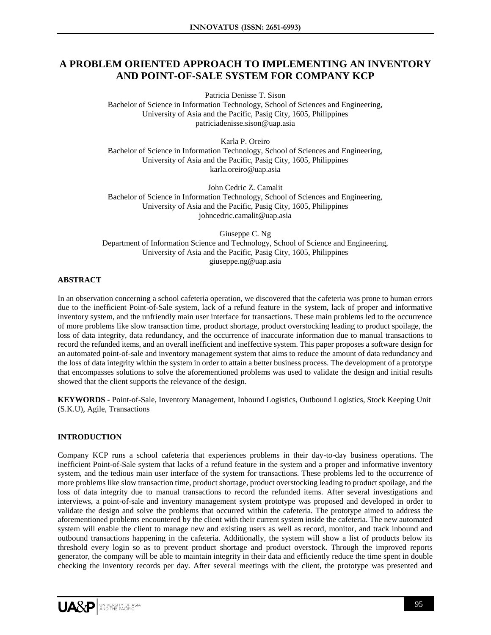# **A PROBLEM ORIENTED APPROACH TO IMPLEMENTING AN INVENTORY AND POINT-OF-SALE SYSTEM FOR COMPANY KCP**

Patricia Denisse T. Sison

Bachelor of Science in Information Technology, School of Sciences and Engineering, University of Asia and the Pacific, Pasig City, 1605, Philippines patriciadenisse.sison@uap.asia

Karla P. Oreiro Bachelor of Science in Information Technology, School of Sciences and Engineering, University of Asia and the Pacific, Pasig City, 1605, Philippines karla.oreiro@uap.asia

John Cedric Z. Camalit Bachelor of Science in Information Technology, School of Sciences and Engineering, University of Asia and the Pacific, Pasig City, 1605, Philippines johncedric.camalit@uap.asia

Giuseppe C. Ng Department of Information Science and Technology, School of Science and Engineering, University of Asia and the Pacific, Pasig City, 1605, Philippines giuseppe.ng@uap.asia

# **ABSTRACT**

In an observation concerning a school cafeteria operation, we discovered that the cafeteria was prone to human errors due to the inefficient Point-of-Sale system, lack of a refund feature in the system, lack of proper and informative inventory system, and the unfriendly main user interface for transactions. These main problems led to the occurrence of more problems like slow transaction time, product shortage, product overstocking leading to product spoilage, the loss of data integrity, data redundancy, and the occurrence of inaccurate information due to manual transactions to record the refunded items, and an overall inefficient and ineffective system. This paper proposes a software design for an automated point-of-sale and inventory management system that aims to reduce the amount of data redundancy and the loss of data integrity within the system in order to attain a better business process. The development of a prototype that encompasses solutions to solve the aforementioned problems was used to validate the design and initial results showed that the client supports the relevance of the design.

**KEYWORDS -** Point-of-Sale, Inventory Management, Inbound Logistics, Outbound Logistics, Stock Keeping Unit (S.K.U), Agile, Transactions

# **INTRODUCTION**

Company KCP runs a school cafeteria that experiences problems in their day-to-day business operations. The inefficient Point-of-Sale system that lacks of a refund feature in the system and a proper and informative inventory system, and the tedious main user interface of the system for transactions. These problems led to the occurrence of more problems like slow transaction time, product shortage, product overstocking leading to product spoilage, and the loss of data integrity due to manual transactions to record the refunded items. After several investigations and interviews, a point-of-sale and inventory management system prototype was proposed and developed in order to validate the design and solve the problems that occurred within the cafeteria. The prototype aimed to address the aforementioned problems encountered by the client with their current system inside the cafeteria. The new automated system will enable the client to manage new and existing users as well as record, monitor, and track inbound and outbound transactions happening in the cafeteria. Additionally, the system will show a list of products below its threshold every login so as to prevent product shortage and product overstock. Through the improved reports generator, the company will be able to maintain integrity in their data and efficiently reduce the time spent in double checking the inventory records per day. After several meetings with the client, the prototype was presented and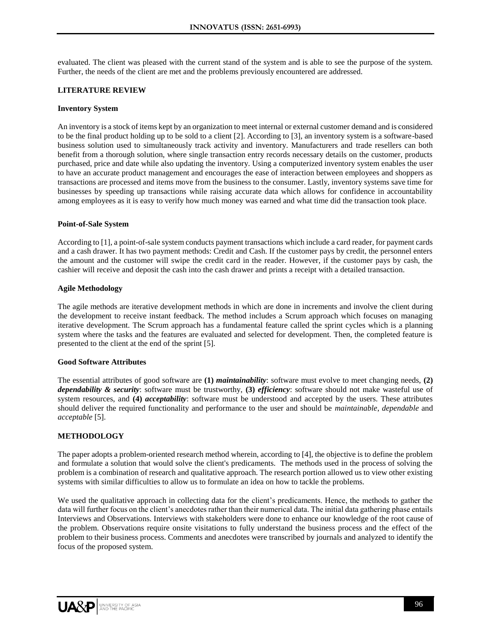evaluated. The client was pleased with the current stand of the system and is able to see the purpose of the system. Further, the needs of the client are met and the problems previously encountered are addressed.

#### **LITERATURE REVIEW**

#### **Inventory System**

An inventory is a stock of items kept by an organization to meet internal or external customer demand and is considered to be the final product holding up to be sold to a client [2]. According to [3], an inventory system is a software-based business solution used to simultaneously track activity and inventory. Manufacturers and trade resellers can both benefit from a thorough solution, where single transaction entry records necessary details on the customer, products purchased, price and date while also updating the inventory. Using a computerized inventory system enables the user to have an accurate product management and encourages the ease of interaction between employees and shoppers as transactions are processed and items move from the business to the consumer. Lastly, inventory systems save time for businesses by speeding up transactions while raising accurate data which allows for confidence in accountability among employees as it is easy to verify how much money was earned and what time did the transaction took place.

#### **Point-of-Sale System**

According to [1], a point-of-sale system conducts payment transactions which include a card reader, for payment cards and a cash drawer. It has two payment methods: Credit and Cash. If the customer pays by credit, the personnel enters the amount and the customer will swipe the credit card in the reader. However, if the customer pays by cash, the cashier will receive and deposit the cash into the cash drawer and prints a receipt with a detailed transaction.

#### **Agile Methodology**

The agile methods are iterative development methods in which are done in increments and involve the client during the development to receive instant feedback. The method includes a Scrum approach which focuses on managing iterative development. The Scrum approach has a fundamental feature called the sprint cycles which is a planning system where the tasks and the features are evaluated and selected for development. Then, the completed feature is presented to the client at the end of the sprint [5].

#### **Good Software Attributes**

The essential attributes of good software are **(1)** *maintainability*: software must evolve to meet changing needs, **(2)** *dependability & security*: software must be trustworthy, **(3)** *efficiency*: software should not make wasteful use of system resources, and **(4)** *acceptability*: software must be understood and accepted by the users. These attributes should deliver the required functionality and performance to the user and should be *maintainable*, *dependable* and *acceptable* [5].

## **METHODOLOGY**

The paper adopts a problem-oriented research method wherein, according to [4], the objective is to define the problem and formulate a solution that would solve the client's predicaments. The methods used in the process of solving the problem is a combination of research and qualitative approach. The research portion allowed us to view other existing systems with similar difficulties to allow us to formulate an idea on how to tackle the problems.

We used the qualitative approach in collecting data for the client's predicaments. Hence, the methods to gather the data will further focus on the client's anecdotes rather than their numerical data. The initial data gathering phase entails Interviews and Observations. Interviews with stakeholders were done to enhance our knowledge of the root cause of the problem. Observations require onsite visitations to fully understand the business process and the effect of the problem to their business process. Comments and anecdotes were transcribed by journals and analyzed to identify the focus of the proposed system.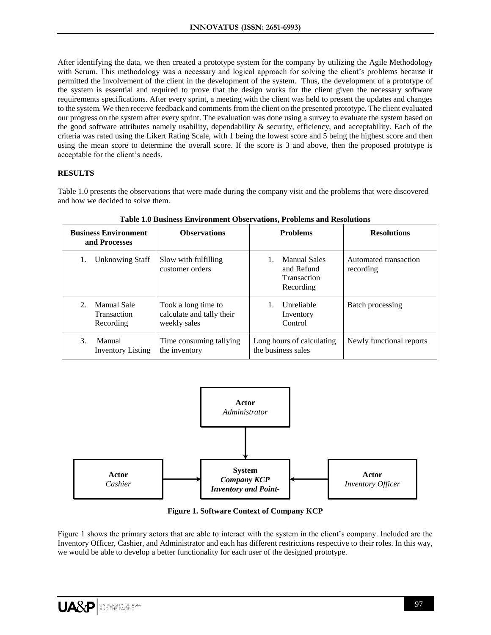After identifying the data, we then created a prototype system for the company by utilizing the Agile Methodology with Scrum. This methodology was a necessary and logical approach for solving the client's problems because it permitted the involvement of the client in the development of the system. Thus, the development of a prototype of the system is essential and required to prove that the design works for the client given the necessary software requirements specifications. After every sprint, a meeting with the client was held to present the updates and changes to the system. We then receive feedback and comments from the client on the presented prototype. The client evaluated our progress on the system after every sprint. The evaluation was done using a survey to evaluate the system based on the good software attributes namely usability, dependability & security, efficiency, and acceptability. Each of the criteria was rated using the Likert Rating Scale, with 1 being the lowest score and 5 being the highest score and then using the mean score to determine the overall score. If the score is 3 and above, then the proposed prototype is acceptable for the client's needs.

# **RESULTS**

Table 1.0 presents the observations that were made during the company visit and the problems that were discovered and how we decided to solve them.

| <b>Business Environment</b><br>and Processes                  | <b>Observations</b>                                              | <b>Problems</b>                                               | <b>Resolutions</b>                 |
|---------------------------------------------------------------|------------------------------------------------------------------|---------------------------------------------------------------|------------------------------------|
| <b>Unknowing Staff</b><br>1.                                  | Slow with fulfilling<br>customer orders                          | <b>Manual Sales</b><br>and Refund<br>Transaction<br>Recording | Automated transaction<br>recording |
| Manual Sale<br>$2_{\cdot}$<br><b>Transaction</b><br>Recording | Took a long time to<br>calculate and tally their<br>weekly sales | Unreliable<br>Inventory<br>Control                            | Batch processing                   |
| 3.<br>Manual<br><b>Inventory Listing</b>                      | Time consuming tallying<br>the inventory                         | Long hours of calculating<br>the business sales               | Newly functional reports           |

**Table 1.0 Business Environment Observations, Problems and Resolutions**



**Figure 1. Software Context of Company KCP**

Figure 1 shows the primary actors that are able to interact with the system in the client's company. Included are the Inventory Officer, Cashier, and Administrator and each has different restrictions respective to their roles. In this way, we would be able to develop a better functionality for each user of the designed prototype.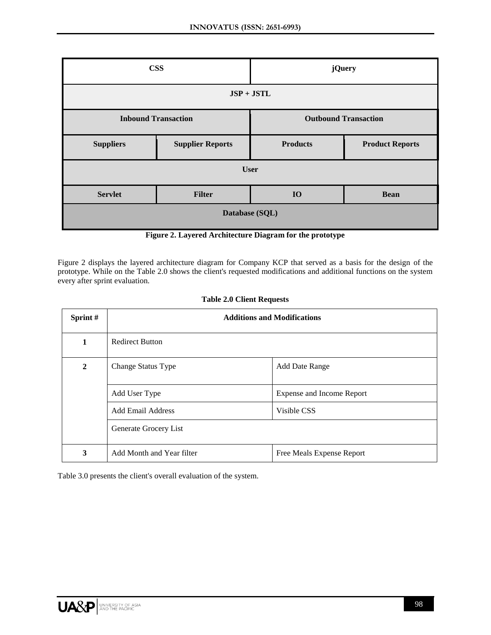| <b>CSS</b>       |                            | <b>jQuery</b>               |                        |  |  |
|------------------|----------------------------|-----------------------------|------------------------|--|--|
| $JSP + JSTL$     |                            |                             |                        |  |  |
|                  | <b>Inbound Transaction</b> | <b>Outbound Transaction</b> |                        |  |  |
| <b>Suppliers</b> | <b>Supplier Reports</b>    | <b>Products</b>             | <b>Product Reports</b> |  |  |
| <b>User</b>      |                            |                             |                        |  |  |
| <b>Servlet</b>   | <b>Filter</b>              | <b>IO</b>                   | <b>Bean</b>            |  |  |
| Database (SQL)   |                            |                             |                        |  |  |

**Figure 2. Layered Architecture Diagram for the prototype**

Figure 2 displays the layered architecture diagram for Company KCP that served as a basis for the design of the prototype. While on the Table 2.0 shows the client's requested modifications and additional functions on the system every after sprint evaluation.

| Sprint #       | <b>Additions and Modifications</b> |                           |  |
|----------------|------------------------------------|---------------------------|--|
| 1              | <b>Redirect Button</b>             |                           |  |
| $\overline{2}$ | Change Status Type                 | <b>Add Date Range</b>     |  |
|                | Add User Type                      | Expense and Income Report |  |
|                | Add Email Address                  | Visible CSS               |  |
|                | Generate Grocery List              |                           |  |
| 3              | Add Month and Year filter          | Free Meals Expense Report |  |

## **Table 2.0 Client Requests**

Table 3.0 presents the client's overall evaluation of the system.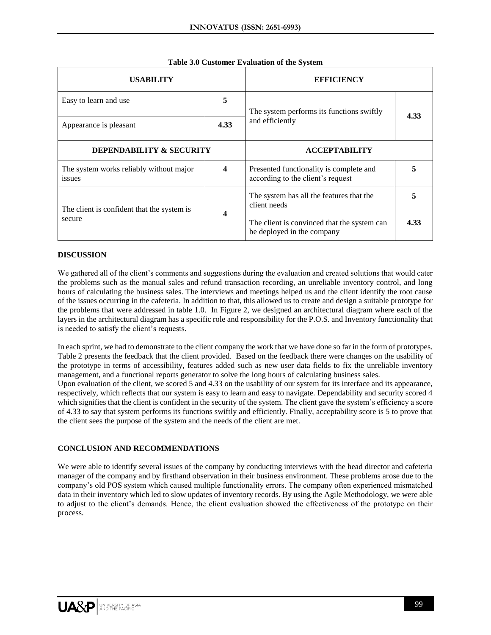| <b>USABILITY</b>                                  |      | <b>EFFICIENCY</b>                                                            |      |
|---------------------------------------------------|------|------------------------------------------------------------------------------|------|
| Easy to learn and use                             | 5    |                                                                              | 4.33 |
| Appearance is pleasant                            | 4.33 | and efficiently                                                              |      |
| <b>DEPENDABILITY &amp; SECURITY</b>               |      | <b>ACCEPTABILITY</b>                                                         |      |
| The system works reliably without major<br>issues | 4    | Presented functionality is complete and<br>according to the client's request |      |
| The client is confident that the system is        |      | The system has all the features that the<br>client needs                     | 5    |
| secure                                            | 4    | The client is convinced that the system can<br>be deployed in the company    | 4.33 |

# **Table 3.0 Customer Evaluation of the System**

#### **DISCUSSION**

We gathered all of the client's comments and suggestions during the evaluation and created solutions that would cater the problems such as the manual sales and refund transaction recording, an unreliable inventory control, and long hours of calculating the business sales. The interviews and meetings helped us and the client identify the root cause of the issues occurring in the cafeteria. In addition to that, this allowed us to create and design a suitable prototype for the problems that were addressed in table 1.0. In Figure 2, we designed an architectural diagram where each of the layers in the architectural diagram has a specific role and responsibility for the P.O.S. and Inventory functionality that is needed to satisfy the client's requests.

In each sprint, we had to demonstrate to the client company the work that we have done so far in the form of prototypes. Table 2 presents the feedback that the client provided. Based on the feedback there were changes on the usability of the prototype in terms of accessibility, features added such as new user data fields to fix the unreliable inventory management, and a functional reports generator to solve the long hours of calculating business sales.

Upon evaluation of the client, we scored 5 and 4.33 on the usability of our system for its interface and its appearance, respectively, which reflects that our system is easy to learn and easy to navigate. Dependability and security scored 4 which signifies that the client is confident in the security of the system. The client gave the system's efficiency a score of 4.33 to say that system performs its functions swiftly and efficiently. Finally, acceptability score is 5 to prove that the client sees the purpose of the system and the needs of the client are met.

## **CONCLUSION AND RECOMMENDATIONS**

We were able to identify several issues of the company by conducting interviews with the head director and cafeteria manager of the company and by firsthand observation in their business environment. These problems arose due to the company's old POS system which caused multiple functionality errors. The company often experienced mismatched data in their inventory which led to slow updates of inventory records. By using the Agile Methodology, we were able to adjust to the client's demands. Hence, the client evaluation showed the effectiveness of the prototype on their process.